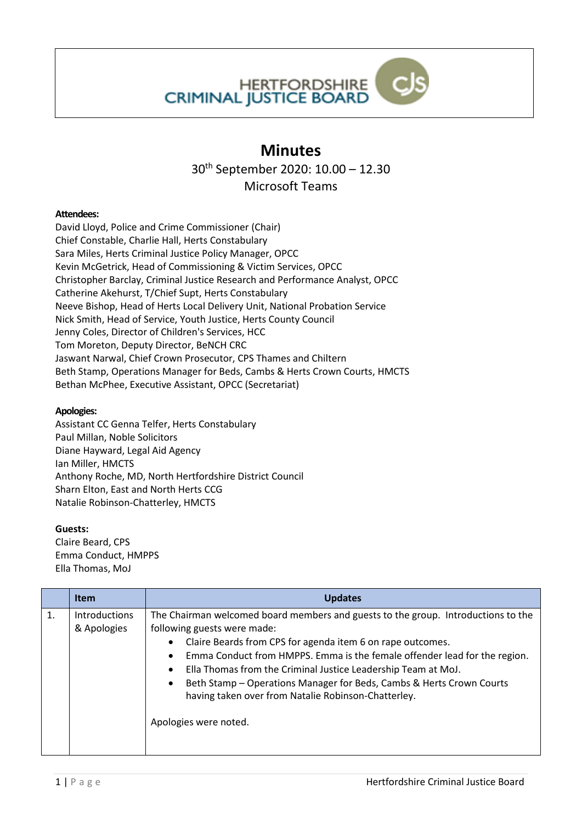

## **Minutes**

30th September 2020: 10.00 – 12.30

Microsoft Teams

## **Attendees:**

David Lloyd, Police and Crime Commissioner (Chair) Chief Constable, Charlie Hall, Herts Constabulary Sara Miles, Herts Criminal Justice Policy Manager, OPCC Kevin McGetrick, Head of Commissioning & Victim Services, OPCC Christopher Barclay, Criminal Justice Research and Performance Analyst, OPCC Catherine Akehurst, T/Chief Supt, Herts Constabulary Neeve Bishop, Head of Herts Local Delivery Unit, National Probation Service Nick Smith, Head of Service, Youth Justice, Herts County Council Jenny Coles, Director of Children's Services, HCC Tom Moreton, Deputy Director, BeNCH CRC Jaswant Narwal, Chief Crown Prosecutor, CPS Thames and Chiltern Beth Stamp, Operations Manager for Beds, Cambs & Herts Crown Courts, HMCTS Bethan McPhee, Executive Assistant, OPCC (Secretariat)

## **Apologies:**

Assistant CC Genna Telfer, Herts Constabulary Paul Millan, Noble Solicitors Diane Hayward, Legal Aid Agency Ian Miller, HMCTS Anthony Roche, MD, North Hertfordshire District Council Sharn Elton, East and North Herts CCG Natalie Robinson-Chatterley, HMCTS

## **Guests:**

Claire Beard, CPS Emma Conduct, HMPPS Ella Thomas, MoJ

|    | <b>Item</b>                  | <b>Updates</b>                                                                                                                                                                                                                                                                                                                                                                                                                                                                                                                           |
|----|------------------------------|------------------------------------------------------------------------------------------------------------------------------------------------------------------------------------------------------------------------------------------------------------------------------------------------------------------------------------------------------------------------------------------------------------------------------------------------------------------------------------------------------------------------------------------|
| 1. | Introductions<br>& Apologies | The Chairman welcomed board members and guests to the group. Introductions to the<br>following guests were made:<br>Claire Beards from CPS for agenda item 6 on rape outcomes.<br>$\bullet$<br>Emma Conduct from HMPPS. Emma is the female offender lead for the region.<br>$\bullet$<br>Ella Thomas from the Criminal Justice Leadership Team at MoJ.<br>$\bullet$<br>Beth Stamp - Operations Manager for Beds, Cambs & Herts Crown Courts<br>$\bullet$<br>having taken over from Natalie Robinson-Chatterley.<br>Apologies were noted. |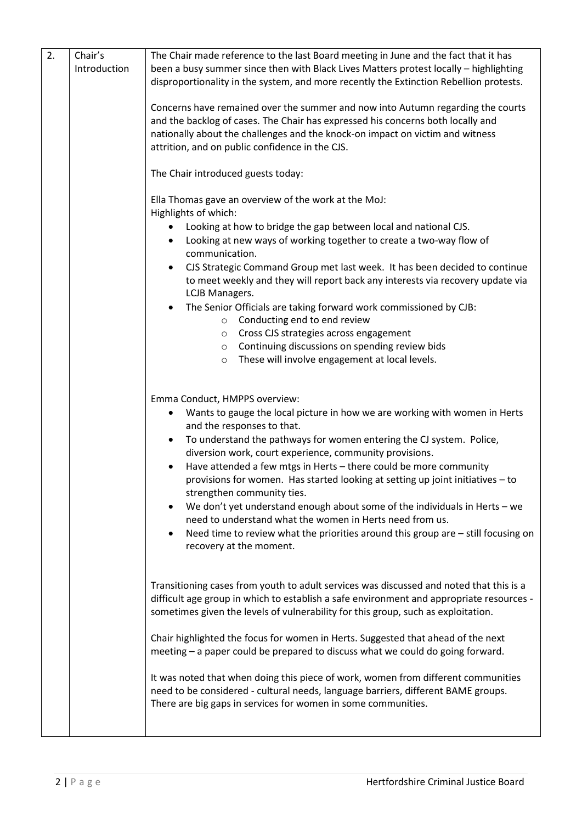| 2. | Chair's      | The Chair made reference to the last Board meeting in June and the fact that it has            |
|----|--------------|------------------------------------------------------------------------------------------------|
|    | Introduction | been a busy summer since then with Black Lives Matters protest locally - highlighting          |
|    |              | disproportionality in the system, and more recently the Extinction Rebellion protests.         |
|    |              |                                                                                                |
|    |              | Concerns have remained over the summer and now into Autumn regarding the courts                |
|    |              | and the backlog of cases. The Chair has expressed his concerns both locally and                |
|    |              | nationally about the challenges and the knock-on impact on victim and witness                  |
|    |              |                                                                                                |
|    |              | attrition, and on public confidence in the CJS.                                                |
|    |              |                                                                                                |
|    |              | The Chair introduced guests today:                                                             |
|    |              |                                                                                                |
|    |              | Ella Thomas gave an overview of the work at the MoJ:                                           |
|    |              | Highlights of which:                                                                           |
|    |              | Looking at how to bridge the gap between local and national CJS.<br>$\bullet$                  |
|    |              | Looking at new ways of working together to create a two-way flow of<br>$\bullet$               |
|    |              | communication.                                                                                 |
|    |              | CJS Strategic Command Group met last week. It has been decided to continue<br>$\bullet$        |
|    |              | to meet weekly and they will report back any interests via recovery update via                 |
|    |              | LCJB Managers.                                                                                 |
|    |              | The Senior Officials are taking forward work commissioned by CJB:<br>$\bullet$                 |
|    |              | Conducting end to end review<br>$\circ$                                                        |
|    |              | Cross CJS strategies across engagement<br>$\circ$                                              |
|    |              | Continuing discussions on spending review bids<br>$\circ$                                      |
|    |              | These will involve engagement at local levels.<br>$\circ$                                      |
|    |              |                                                                                                |
|    |              |                                                                                                |
|    |              |                                                                                                |
|    |              | Emma Conduct, HMPPS overview:                                                                  |
|    |              | Wants to gauge the local picture in how we are working with women in Herts<br>٠                |
|    |              | and the responses to that.                                                                     |
|    |              | To understand the pathways for women entering the CJ system. Police,<br>٠                      |
|    |              | diversion work, court experience, community provisions.                                        |
|    |              | Have attended a few mtgs in Herts - there could be more community<br>$\bullet$                 |
|    |              | provisions for women. Has started looking at setting up joint initiatives - to                 |
|    |              | strengthen community ties.                                                                     |
|    |              | We don't yet understand enough about some of the individuals in Herts - we                     |
|    |              | need to understand what the women in Herts need from us.                                       |
|    |              | Need time to review what the priorities around this group are - still focusing on<br>$\bullet$ |
|    |              | recovery at the moment.                                                                        |
|    |              |                                                                                                |
|    |              |                                                                                                |
|    |              | Transitioning cases from youth to adult services was discussed and noted that this is a        |
|    |              | difficult age group in which to establish a safe environment and appropriate resources -       |
|    |              | sometimes given the levels of vulnerability for this group, such as exploitation.              |
|    |              |                                                                                                |
|    |              | Chair highlighted the focus for women in Herts. Suggested that ahead of the next               |
|    |              |                                                                                                |
|    |              | meeting - a paper could be prepared to discuss what we could do going forward.                 |
|    |              |                                                                                                |
|    |              | It was noted that when doing this piece of work, women from different communities              |
|    |              | need to be considered - cultural needs, language barriers, different BAME groups.              |
|    |              | There are big gaps in services for women in some communities.                                  |
|    |              |                                                                                                |
|    |              |                                                                                                |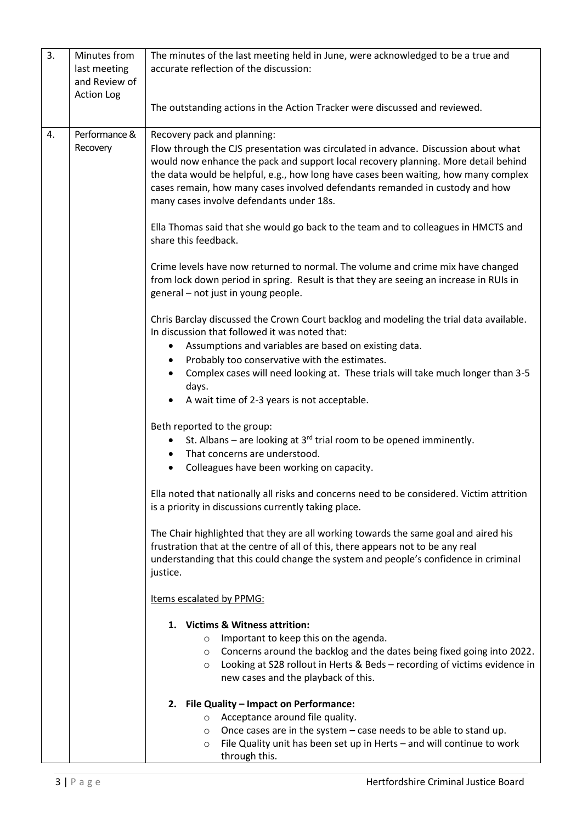| 3. | Minutes from<br>last meeting<br>and Review of<br><b>Action Log</b> | The minutes of the last meeting held in June, were acknowledged to be a true and<br>accurate reflection of the discussion:                                                                                                                                                                                                                                                                                                 |
|----|--------------------------------------------------------------------|----------------------------------------------------------------------------------------------------------------------------------------------------------------------------------------------------------------------------------------------------------------------------------------------------------------------------------------------------------------------------------------------------------------------------|
|    |                                                                    | The outstanding actions in the Action Tracker were discussed and reviewed.                                                                                                                                                                                                                                                                                                                                                 |
| 4. | Performance &<br>Recovery                                          | Recovery pack and planning:<br>Flow through the CJS presentation was circulated in advance. Discussion about what<br>would now enhance the pack and support local recovery planning. More detail behind<br>the data would be helpful, e.g., how long have cases been waiting, how many complex<br>cases remain, how many cases involved defendants remanded in custody and how<br>many cases involve defendants under 18s. |
|    |                                                                    | Ella Thomas said that she would go back to the team and to colleagues in HMCTS and<br>share this feedback.                                                                                                                                                                                                                                                                                                                 |
|    |                                                                    | Crime levels have now returned to normal. The volume and crime mix have changed<br>from lock down period in spring. Result is that they are seeing an increase in RUIs in<br>general - not just in young people.                                                                                                                                                                                                           |
|    |                                                                    | Chris Barclay discussed the Crown Court backlog and modeling the trial data available.<br>In discussion that followed it was noted that:                                                                                                                                                                                                                                                                                   |
|    |                                                                    | Assumptions and variables are based on existing data.<br>٠                                                                                                                                                                                                                                                                                                                                                                 |
|    |                                                                    | Probably too conservative with the estimates.<br>$\bullet$<br>Complex cases will need looking at. These trials will take much longer than 3-5                                                                                                                                                                                                                                                                              |
|    |                                                                    | days.                                                                                                                                                                                                                                                                                                                                                                                                                      |
|    |                                                                    | A wait time of 2-3 years is not acceptable.<br>$\bullet$                                                                                                                                                                                                                                                                                                                                                                   |
|    |                                                                    | Beth reported to the group:<br>St. Albans – are looking at $3^{rd}$ trial room to be opened imminently.<br>$\bullet$<br>That concerns are understood.<br>$\bullet$<br>Colleagues have been working on capacity.                                                                                                                                                                                                            |
|    |                                                                    |                                                                                                                                                                                                                                                                                                                                                                                                                            |
|    |                                                                    | Ella noted that nationally all risks and concerns need to be considered. Victim attrition<br>is a priority in discussions currently taking place.                                                                                                                                                                                                                                                                          |
|    |                                                                    | The Chair highlighted that they are all working towards the same goal and aired his<br>frustration that at the centre of all of this, there appears not to be any real<br>understanding that this could change the system and people's confidence in criminal<br>justice.                                                                                                                                                  |
|    |                                                                    | Items escalated by PPMG:                                                                                                                                                                                                                                                                                                                                                                                                   |
|    |                                                                    | 1. Victims & Witness attrition:<br>Important to keep this on the agenda.<br>O<br>Concerns around the backlog and the dates being fixed going into 2022.<br>O<br>Looking at S28 rollout in Herts & Beds - recording of victims evidence in<br>$\circ$<br>new cases and the playback of this.                                                                                                                                |
|    |                                                                    | 2. File Quality - Impact on Performance:                                                                                                                                                                                                                                                                                                                                                                                   |
|    |                                                                    | Acceptance around file quality.<br>O                                                                                                                                                                                                                                                                                                                                                                                       |
|    |                                                                    | Once cases are in the system $-$ case needs to be able to stand up.<br>$\circ$<br>File Quality unit has been set up in Herts - and will continue to work<br>O<br>through this.                                                                                                                                                                                                                                             |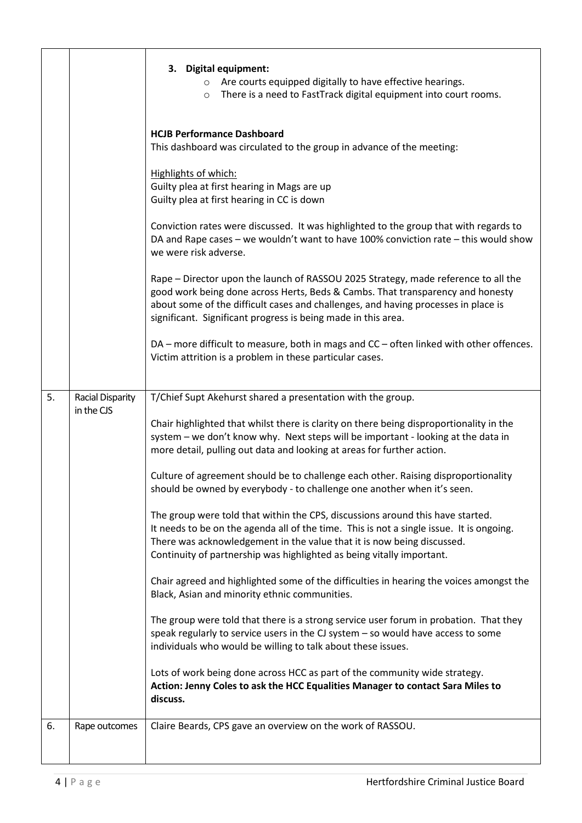|    |                                | 3. Digital equipment:<br>Are courts equipped digitally to have effective hearings.<br>$\circ$<br>There is a need to FastTrack digital equipment into court rooms.<br>$\circ$                                                                                                                                                  |
|----|--------------------------------|-------------------------------------------------------------------------------------------------------------------------------------------------------------------------------------------------------------------------------------------------------------------------------------------------------------------------------|
|    |                                | <b>HCJB Performance Dashboard</b><br>This dashboard was circulated to the group in advance of the meeting:                                                                                                                                                                                                                    |
|    |                                | Highlights of which:<br>Guilty plea at first hearing in Mags are up<br>Guilty plea at first hearing in CC is down                                                                                                                                                                                                             |
|    |                                | Conviction rates were discussed. It was highlighted to the group that with regards to<br>DA and Rape cases - we wouldn't want to have 100% conviction rate - this would show<br>we were risk adverse.                                                                                                                         |
|    |                                | Rape - Director upon the launch of RASSOU 2025 Strategy, made reference to all the<br>good work being done across Herts, Beds & Cambs. That transparency and honesty<br>about some of the difficult cases and challenges, and having processes in place is<br>significant. Significant progress is being made in this area.   |
|    |                                | DA - more difficult to measure, both in mags and CC - often linked with other offences.<br>Victim attrition is a problem in these particular cases.                                                                                                                                                                           |
| 5. | Racial Disparity<br>in the CJS | T/Chief Supt Akehurst shared a presentation with the group.                                                                                                                                                                                                                                                                   |
|    |                                | Chair highlighted that whilst there is clarity on there being disproportionality in the<br>system - we don't know why. Next steps will be important - looking at the data in<br>more detail, pulling out data and looking at areas for further action.                                                                        |
|    |                                | Culture of agreement should be to challenge each other. Raising disproportionality<br>should be owned by everybody - to challenge one another when it's seen.                                                                                                                                                                 |
|    |                                | The group were told that within the CPS, discussions around this have started.<br>It needs to be on the agenda all of the time. This is not a single issue. It is ongoing.<br>There was acknowledgement in the value that it is now being discussed.<br>Continuity of partnership was highlighted as being vitally important. |
|    |                                | Chair agreed and highlighted some of the difficulties in hearing the voices amongst the<br>Black, Asian and minority ethnic communities.                                                                                                                                                                                      |
|    |                                | The group were told that there is a strong service user forum in probation. That they<br>speak regularly to service users in the CJ system - so would have access to some<br>individuals who would be willing to talk about these issues.                                                                                     |
|    |                                | Lots of work being done across HCC as part of the community wide strategy.<br>Action: Jenny Coles to ask the HCC Equalities Manager to contact Sara Miles to<br>discuss.                                                                                                                                                      |
| 6. | Rape outcomes                  | Claire Beards, CPS gave an overview on the work of RASSOU.                                                                                                                                                                                                                                                                    |
|    |                                |                                                                                                                                                                                                                                                                                                                               |